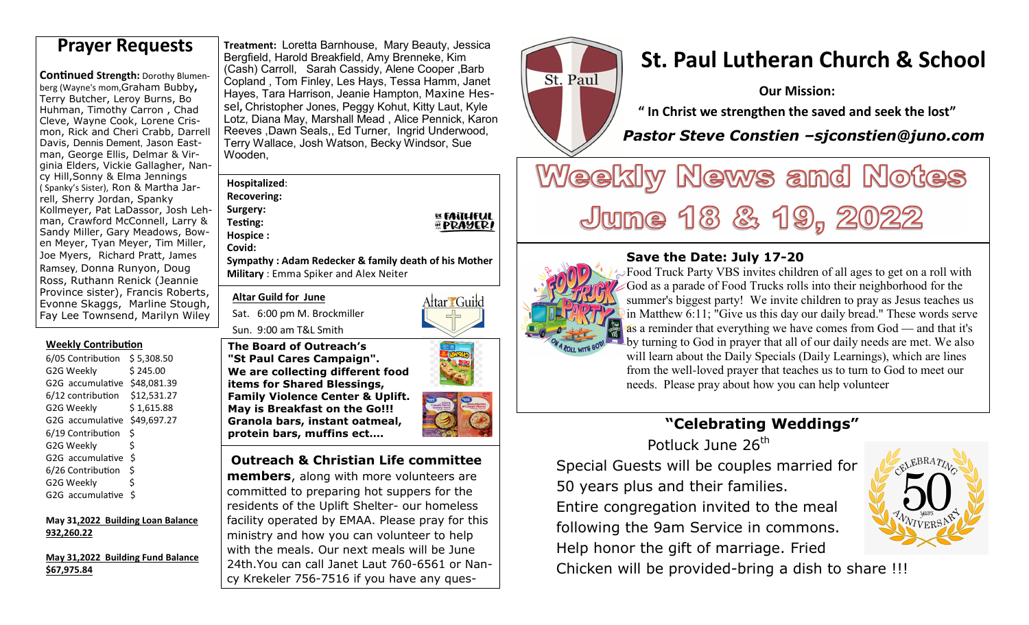**Continued Strength: Dorothy Blumen**berg (Wayne's mom,Graham Bubby**,** Terry Butcher, Leroy Burns, Bo Huhman, Timothy Carron , Chad Cleve, Wayne Cook, Lorene Crismon, Rick and Cheri Crabb, Darrell Davis, Dennis Dement, Jason Eastman, George Ellis, Delmar & Virginia Elders, Vickie Gallagher, Nancy Hill,Sonny & Elma Jennings ( Spanky's Sister), Ron & Martha Jarrell, Sherry Jordan, Spanky Kollmeyer, Pat LaDassor, Josh Lehman, Crawford McConnell, Larry & Sandy Miller, Gary Meadows, Bowen Meyer, Tyan Meyer, Tim Miller, Joe Myers, Richard Pratt, James Ramsey, Donna Runyon, Doug Ross, Ruthann Renick (Jeannie Province sister), Francis Roberts, Evonne Skaggs, Marline Stough, Fay Lee Townsend, Marilyn Wiley

#### **Weekly Contribution**

| 6/05 Contribution   | \$5,308.50  |
|---------------------|-------------|
| G2G Weekly          | \$245.00    |
| G2G accumulative    | \$48,081.39 |
| $6/12$ contribution | \$12,531.27 |
| G2G Weekly          | \$1,615.88  |
| G2G accumulative    | \$49,697.27 |
| 6/19 Contribution   | Ś           |
| G2G Weekly          | \$          |
| G2G accumulative    | Ś           |
| 6/26 Contribution   | Ś           |
| G2G Weekly          | \$          |
| G2G accumulative    | \$          |

#### **May 31,2022 Building Loan Balance 932,260.22**

**May 31,2022 Building Fund Balance \$67,975.84** 

**Treatment:** Loretta Barnhouse, Mary Beauty, Jessica Bergfield, Harold Breakfield, Amy Brenneke, Kim (Cash) Carroll, Sarah Cassidy, Alene Cooper ,Barb Copland , Tom Finley, Les Hays, Tessa Hamm, Janet Hayes, Tara Harrison, Jeanie Hampton, Maxine Hessel**,** Christopher Jones, Peggy Kohut, Kitty Laut, Kyle Lotz, Diana May, Marshall Mead , Alice Pennick, KaronReeves ,Dawn Seals,, Ed Turner, Ingrid Underwood, Terry Wallace, Josh Watson, Becky Windsor, Sue Wooden, **Prayer Requests** *If Treatment: Loretta Barnhouse, Mary Beauty, Jessica* **<b>St. Paul Lutheran Church & School** 

> **Hospitalized**: **Recovering:**

**Surgery: Testing:** 

**Hospice :** 

**Covid:** 

**Sympathy : Adam Redecker & family death of his MotherMilitary** : Emma Spiker and Alex Neiter

**Altar Guild for June** 

Sun. 9:00 am T&L Smith

Sat. 6:00 pm M. Brockmiller



**EL FAITHFUL<br>※PRAYER!** 

**The Board of Outreach's "St Paul Cares Campaign". We are collecting different food items for Shared Blessings, Family Violence Center & Uplift. May is Breakfast on the Go!!! Granola bars, instant oatmeal, protein bars, muffins ect….**



## **Outreach & Christian Life committee**

**members**, along with more volunteers are committed to preparing hot suppers for the residents of the Uplift Shelter- our homeless facility operated by EMAA. Please pray for this ministry and how you can volunteer to help with the meals. Our next meals will be June 24th.You can call Janet Laut 760-6561 or Nancy Krekeler 756-7516 if you have any ques-



**Our Mission:** 

**" In Christ we strengthen the saved and seek the lost"** 

 *Pastor Steve Constien –sjconstien@juno.com* 

# Weekly News and Notes June 18 & 19, 2022



**Save the Date: July 17-20**<br>Food Truck Party VBS invites children of all ages to get on a roll with Food Truck Party VBS invites children of all ages to get on a roll with<br>God as a parade of Food Trucks rolls into their neighborhood for the<br>summer's biggest party! We invite children to pray as Jesus teaches us<br>in Matthew by turning to God in prayer that all of our daily needs are met. We also will learn about the Daily Specials (Daily Learnings), which are lines from the well-loved prayer that teaches us to turn to God to meet our needs. Please pray about how you can help volunteer

# **"Celebrating Weddings"**

Potluck June 26<sup>th</sup>

Special Guests will be couples married for 50 years plus and their families. Entire congregation invited to the meal following the 9am Service in commons. Help honor the gift of marriage. Fried



Chicken will be provided-bring a dish to share !!!